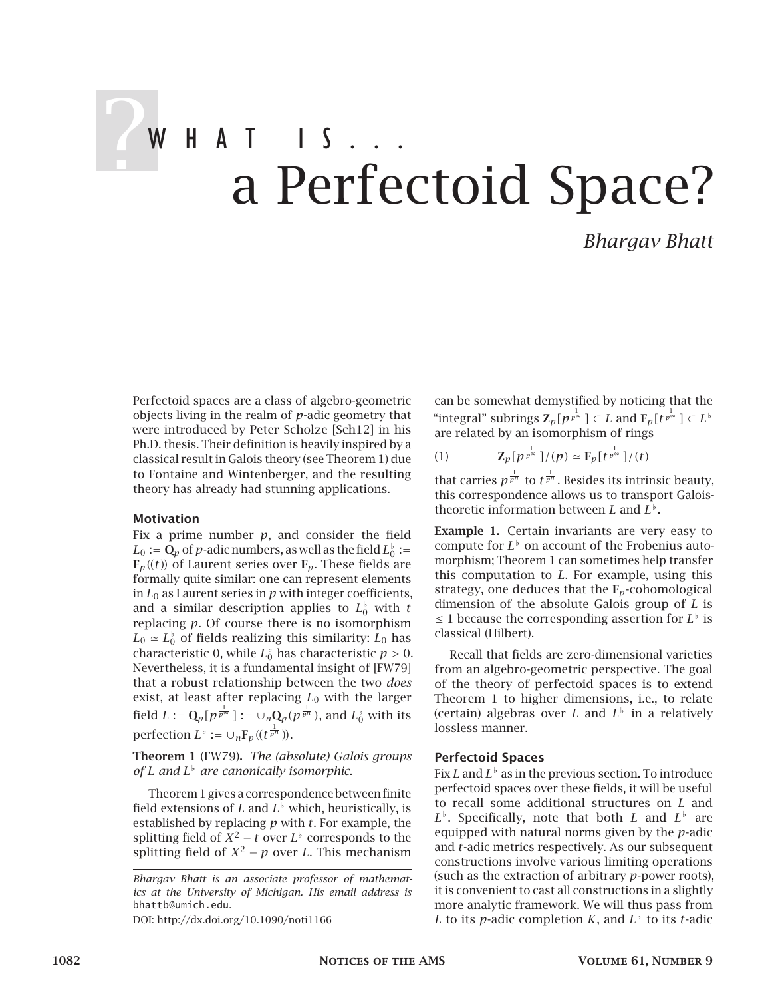# $2WHAIIS...$ a Perfectoid Space?

*Bhargav Bhatt*

Perfectoid spaces are a class of algebro-geometric objects living in the realm of *p*-adic geometry that were introduced by Peter Scholze [Sch12] in his Ph.D. thesis. Their definition is heavily inspired by a classical result in Galois theory (see Theorem 1) due to Fontaine and Wintenberger, and the resulting theory has already had stunning applications.

### Motivation

Fix a prime number *p*, and consider the field  $L_0 := \mathbf{Q}_p$  of  $p$ -adic numbers, as well as the field  $L_0^{\flat} :=$  $\mathbf{F}_p$ ((*t*)) of Laurent series over  $\mathbf{F}_p$ . These fields are formally quite similar: one can represent elements in  $L_0$  as Laurent series in  $p$  with integer coefficients, and a similar description applies to  $L_0^{\flat}$  with  $t$ replacing *p*. Of course there is no isomorphism  $L_0 \simeq L_0^{\flat}$  of fields realizing this similarity:  $L_0$  has characteristic 0, while  $L_0^{\flat}$  has characteristic  $p > 0$ . Nevertheless, it is a fundamental insight of [FW79] that a robust relationship between the two *does* exist, at least after replacing *L*<sup>0</sup> with the larger field  $L := \mathbf{Q}_p[\, p^{\frac{1}{p^\infty}}\,] := \cup_n \mathbf{Q}_p(p^{\frac{1}{p^n}}),$  and  $L_0^{\flat}$  with its perfection  $L^{\flat} := \cup_n \mathbf{F}_p((t^{\frac{1}{p^n}}))$ .

Theorem 1 (FW79). *The (absolute) Galois groups of L and L [ are canonically isomorphic.*

Theorem 1 gives a correspondence between finite field extensions of *L* and  $L^{\flat}$  which, heuristically, is established by replacing *p* with *t*. For example, the splitting field of  $X^2 - t$  over  $L^{\flat}$  corresponds to the splitting field of  $X^2 - p$  over *L*. This mechanism

DOI: http://dx.doi.org/10.1090/noti1166

can be somewhat demystified by noticing that the "integral" subrings  $\mathbf{Z}_p[p^{\frac{1}{p^{\infty}}}] \subset L$  and  $\mathbf{F}_p[t^{\frac{1}{p^{\infty}}}] \subset L^{\flat}$ are related by an isomorphism of rings

(1) 
$$
\mathbf{Z}_{p}[p^{\frac{1}{p^{\infty}}}]/(p) \simeq \mathbf{F}_{p}[t^{\frac{1}{p^{\infty}}}]/(t)
$$

that carries  $p^{\frac{1}{p^n}}$  to  $t^{\frac{1}{p^n}}$ . Besides its intrinsic beauty, this correspondence allows us to transport Galoistheoretic information between  $L$  and  $L^{\flat}$ .

Example 1. Certain invariants are very easy to compute for  $L^{\flat}$  on account of the Frobenius automorphism; Theorem 1 can sometimes help transfer this computation to *L*. For example, using this strategy, one deduces that the F*p*-cohomological dimension of the absolute Galois group of *L* is ≤ 1 because the corresponding assertion for  $L^{\flat}$  is classical (Hilbert).

Recall that fields are zero-dimensional varieties from an algebro-geometric perspective. The goal of the theory of perfectoid spaces is to extend Theorem 1 to higher dimensions, i.e., to relate (certain) algebras over *L* and  $L^{\flat}$  in a relatively lossless manner.

## Perfectoid Spaces

Fix  $L$  and  $L^\flat$  as in the previous section. To introduce perfectoid spaces over these fields, it will be useful to recall some additional structures on *L* and  $L^{\flat}$ . Specifically, note that both *L* and  $L^{\flat}$  are equipped with natural norms given by the *p*-adic and *t*-adic metrics respectively. As our subsequent constructions involve various limiting operations (such as the extraction of arbitrary *p*-power roots), it is convenient to cast all constructions in a slightly more analytic framework. We will thus pass from *L* to its *p*-adic completion *K*, and  $L^{\flat}$  to its *t*-adic

*Bhargav Bhatt is an associate professor of mathematics at the University of Michigan. His email address is* bhattb@umich.edu*.*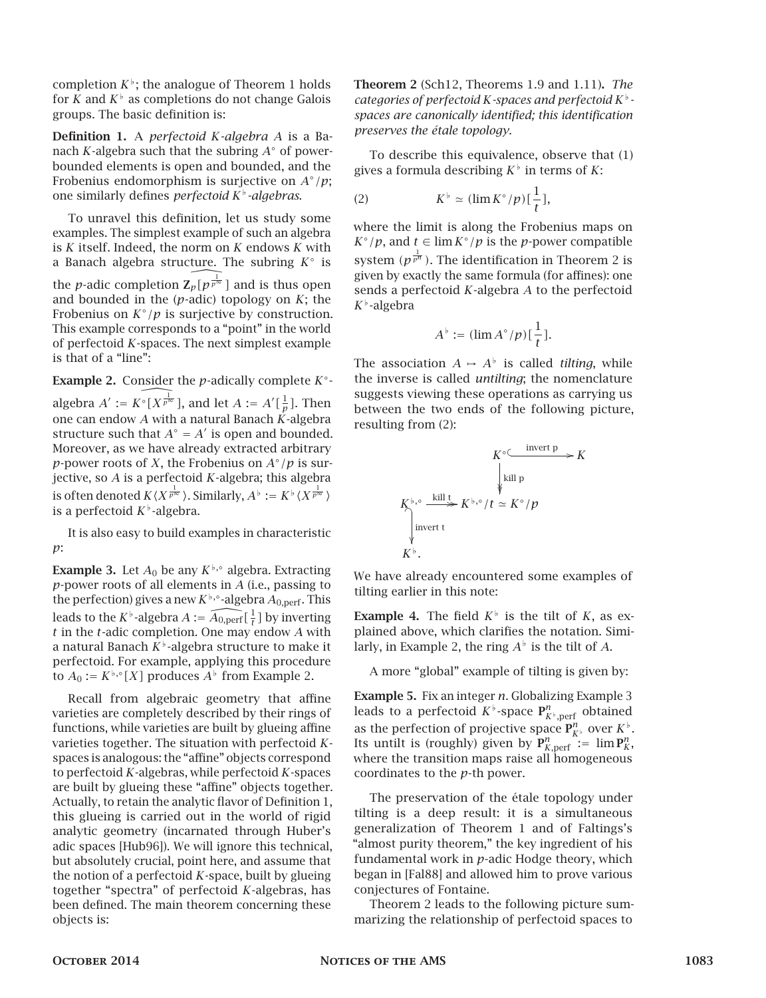completion  $K^{\flat}$ ; the analogue of Theorem 1 holds for *K* and  $K^{\flat}$  as completions do not change Galois groups. The basic definition is:

Definition 1. A *perfectoid K-algebra A* is a Banach *K*-algebra such that the subring *A*◦ of powerbounded elements is open and bounded, and the Frobenius endomorphism is surjective on *A*◦*/p*; one similarly defines *perfectoid K[ -algebras*.

To unravel this definition, let us study some examples. The simplest example of such an algebra is *K* itself. Indeed, the norm on *K* endows *K* with a Banach algebra structure. The subring *K*◦ is the *p*-adic completion  $\widehat{Z_p[p^p]}$  and is thus open and bounded in the (*p*-adic) topology on *K*; the Frobenius on *K*◦*/p* is surjective by construction. This example corresponds to a "point" in the world of perfectoid *K*-spaces. The next simplest example is that of a "line":

**Example 2.** Consider the *p*-adically complete  $K^{\circ}$ algebra  $A' := \widehat{K^\circ[X^{\frac{1}{p^\infty}}]}$ , and let  $A := A'[\frac{1}{p}]$ . Then one can endow *A* with a natural Banach *K*-algebra structure such that  $A^\circ = A'$  is open and bounded. Moreover, as we have already extracted arbitrary *p*-power roots of *X*, the Frobenius on  $A^\circ/p$  is surjective, so *A* is a perfectoid *K*-algebra; this algebra is often denoted  $K\langle X^{\frac{1}{p^\infty}}\rangle.$  Similarly,  $A^\flat:=K^\flat\langle X^{\frac{1}{p^\infty}}\rangle$ is a perfectoid  $K^{\flat}$ -algebra.

It is also easy to build examples in characteristic *p*:

**Example 3.** Let  $A_0$  be any  $K^{\flat,\circ}$  algebra. Extracting *p*-power roots of all elements in *A* (i.e., passing to the perfection) gives a new  $K^{\flat,\circ}$ -algebra  $A_{0,\text{perf}}$ . This leads to the  $K^{\flat}$ -algebra  $A := \widehat{A_{0,\mathrm{perf}}}[\frac{1}{t}]$  by inverting *t* in the *t*-adic completion. One may endow *A* with a natural Banach  $K^{\flat}$ -algebra structure to make it perfectoid. For example, applying this procedure to  $A_0 := K^{\flat,\circ}[X]$  produces  $A^{\flat}$  from Example 2.

Recall from algebraic geometry that affine varieties are completely described by their rings of functions, while varieties are built by glueing affine varieties together. The situation with perfectoid *K*spaces is analogous: the "affine" objects correspond to perfectoid *K*-algebras, while perfectoid *K*-spaces are built by glueing these "affine" objects together. Actually, to retain the analytic flavor of Definition 1, this glueing is carried out in the world of rigid analytic geometry (incarnated through Huber's adic spaces [Hub96]). We will ignore this technical, but absolutely crucial, point here, and assume that the notion of a perfectoid *K*-space, built by glueing together "spectra" of perfectoid *K*-algebras, has been defined. The main theorem concerning these objects is:

Theorem 2 (Sch12, Theorems 1.9 and 1.11). *The categories of perfectoid K*-spaces and perfectoid  $K^{\flat}$ *spaces are canonically identified; this identification preserves the étale topology.*

To describe this equivalence, observe that (1) gives a formula describing  $K^{\flat}$  in terms of K:

(2) 
$$
K^{\flat} \simeq (\lim K^{\circ}/p)[\frac{1}{t}],
$$

where the limit is along the Frobenius maps on *K*◦ */p*, and *t* ∈  $\lim K$ ◦ */p* is the *p*-power compatible system  $(p^{\frac{1}{p^n}})$ . The identification in Theorem 2 is given by exactly the same formula (for affines): one sends a perfectoid *K*-algebra *A* to the perfectoid  $K^{\flat}$ -algebra

$$
A^{\flat} := (\lim A^{\circ}/p)[\frac{1}{t}].
$$

The association  $A \mapsto A^{\flat}$  is called *tilting*, while the inverse is called *untilting*; the nomenclature suggests viewing these operations as carrying us between the two ends of the following picture, resulting from (2):

$$
K^{\circ} \xrightarrow{\text{invert } p} K
$$
  
\n
$$
K^{\flat,\circ} \xrightarrow{\text{kill } t} K^{\flat,\circ}/t \simeq K^{\circ}/p
$$
  
\n
$$
\downarrow^{\text{invert } t}
$$
  
\n
$$
K^{\flat}.
$$

We have already encountered some examples of tilting earlier in this note:

**Example 4.** The field  $K^{\flat}$  is the tilt of K, as explained above, which clarifies the notation. Similarly, in Example 2, the ring  $A^{\flat}$  is the tilt of A.

A more "global" example of tilting is given by:

Example 5. Fix an integer *n*. Globalizing Example 3 leads to a perfectoid  $K^\flat$ -space  ${\mathbf P}^n_{K^\flat,\operatorname{perf}}$  obtained as the perfection of projective space  $P_{K^{\flat}}^n$  over  $K^{\flat}$ . Its untilt is (roughly) given by  $P_{K, \text{perf}}^n := \lim P_K^n$ , where the transition maps raise all homogeneous coordinates to the *p*-th power.

The preservation of the étale topology under tilting is a deep result: it is a simultaneous generalization of Theorem 1 and of Faltings's "almost purity theorem," the key ingredient of his fundamental work in *p*-adic Hodge theory, which began in [Fal88] and allowed him to prove various conjectures of Fontaine.

Theorem 2 leads to the following picture summarizing the relationship of perfectoid spaces to